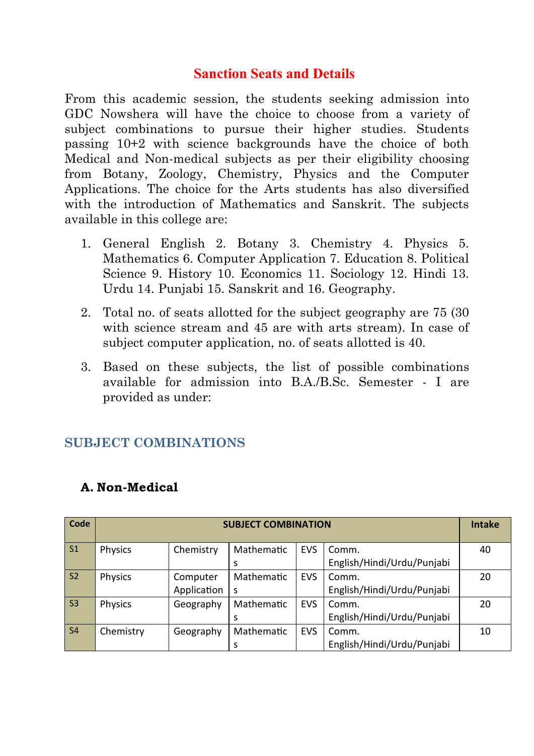## **Sanction Seats and Details**

From this academic session, the students seeking admission into GDC Nowshera will have the choice to choose from a variety of subject combinations to pursue their higher studies. Students passing 10+2 with science backgrounds have the choice of both Medical and Non-medical subjects as per their eligibility choosing from Botany, Zoology, Chemistry, Physics and the Computer Applications. The choice for the Arts students has also diversified with the introduction of Mathematics and Sanskrit. The subjects available in this college are:

- 1. General English 2. Botany 3. Chemistry 4. Physics 5. Mathematics 6. Computer Application 7. Education 8. Political Science 9. History 10. Economics 11. Sociology 12. Hindi 13. Urdu 14. Punjabi 15. Sanskrit and 16. Geography.
- 2. Total no. of seats allotted for the subject geography are 75 (30 with science stream and 45 are with arts stream). In case of subject computer application, no. of seats allotted is 40.
- 3. Based on these subjects, the list of possible combinations available for admission into B.A./B.Sc. Semester - I are provided as under:

## **SUBJECT COMBINATIONS**

| Code           | <b>SUBJECT COMBINATION</b> |             |            |            |                            |    |
|----------------|----------------------------|-------------|------------|------------|----------------------------|----|
| S <sub>1</sub> | Physics                    | Chemistry   | Mathematic | <b>EVS</b> | Comm.                      | 40 |
|                |                            |             | S          |            | English/Hindi/Urdu/Punjabi |    |
| S <sub>2</sub> | <b>Physics</b>             | Computer    | Mathematic | <b>EVS</b> | Comm.                      | 20 |
|                |                            | Application | S          |            | English/Hindi/Urdu/Punjabi |    |
| S <sub>3</sub> | <b>Physics</b>             | Geography   | Mathematic | <b>EVS</b> | Comm.                      | 20 |
|                |                            |             | S          |            | English/Hindi/Urdu/Punjabi |    |
| <b>S4</b>      | Chemistry                  | Geography   | Mathematic | <b>EVS</b> | Comm.                      | 10 |
|                |                            |             | S          |            | English/Hindi/Urdu/Punjabi |    |

### **A. Non-Medical**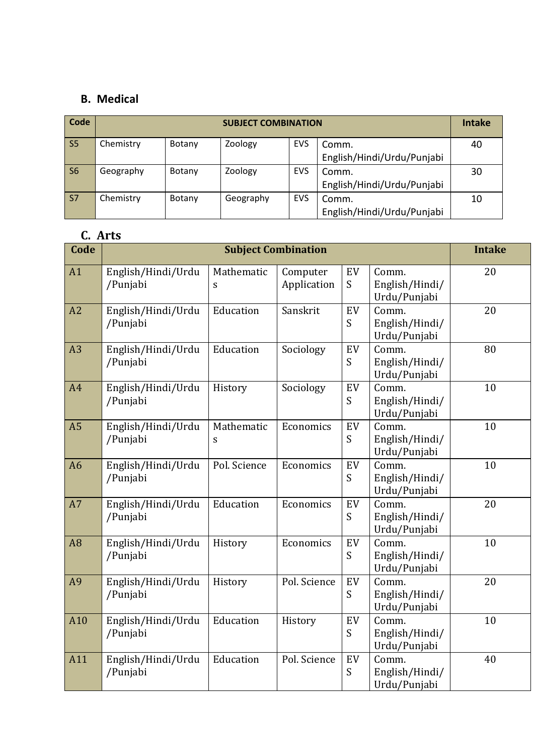#### **B. Medical**

| Code           | <b>SUBJECT COMBINATION</b> |        |           |            |                            |    |
|----------------|----------------------------|--------|-----------|------------|----------------------------|----|
| S <sub>5</sub> | Chemistry                  | Botany | Zoology   | EVS        | Comm.                      | 40 |
|                |                            |        |           |            | English/Hindi/Urdu/Punjabi |    |
| S <sub>6</sub> | Geography                  | Botany | Zoology   | <b>EVS</b> | Comm.                      | 30 |
|                |                            |        |           |            | English/Hindi/Urdu/Punjabi |    |
| S <sub>7</sub> | Chemistry                  | Botany | Geography | <b>EVS</b> | Comm.                      | 10 |
|                |                            |        |           |            | English/Hindi/Urdu/Punjabi |    |

# **C. Arts**

| Code           |                                | <b>Intake</b>   |                         |         |                                         |    |
|----------------|--------------------------------|-----------------|-------------------------|---------|-----------------------------------------|----|
| A1             | English/Hindi/Urdu<br>/Punjabi | Mathematic<br>S | Computer<br>Application | EV<br>S | Comm.<br>English/Hindi/<br>Urdu/Punjabi | 20 |
| A2             | English/Hindi/Urdu<br>/Punjabi | Education       | Sanskrit                | EV<br>S | Comm.<br>English/Hindi/<br>Urdu/Punjabi | 20 |
| A <sub>3</sub> | English/Hindi/Urdu<br>/Punjabi | Education       | Sociology               | EV<br>S | Comm.<br>English/Hindi/<br>Urdu/Punjabi | 80 |
| A4             | English/Hindi/Urdu<br>/Punjabi | History         | Sociology               | EV<br>S | Comm.<br>English/Hindi/<br>Urdu/Punjabi | 10 |
| A <sub>5</sub> | English/Hindi/Urdu<br>/Punjabi | Mathematic<br>S | Economics               | EV<br>S | Comm.<br>English/Hindi/<br>Urdu/Punjabi | 10 |
| A <sub>6</sub> | English/Hindi/Urdu<br>/Punjabi | Pol. Science    | Economics               | EV<br>S | Comm.<br>English/Hindi/<br>Urdu/Punjabi | 10 |
| A7             | English/Hindi/Urdu<br>/Punjabi | Education       | Economics               | EV<br>S | Comm.<br>English/Hindi/<br>Urdu/Punjabi | 20 |
| A <sub>8</sub> | English/Hindi/Urdu<br>/Punjabi | History         | Economics               | EV<br>S | Comm.<br>English/Hindi/<br>Urdu/Punjabi | 10 |
| A <sub>9</sub> | English/Hindi/Urdu<br>/Punjabi | History         | Pol. Science            | EV<br>S | Comm.<br>English/Hindi/<br>Urdu/Punjabi | 20 |
| A10            | English/Hindi/Urdu<br>/Punjabi | Education       | History                 | EV<br>S | Comm.<br>English/Hindi/<br>Urdu/Punjabi | 10 |
| A11            | English/Hindi/Urdu<br>/Punjabi | Education       | Pol. Science            | EV<br>S | Comm.<br>English/Hindi/<br>Urdu/Punjabi | 40 |